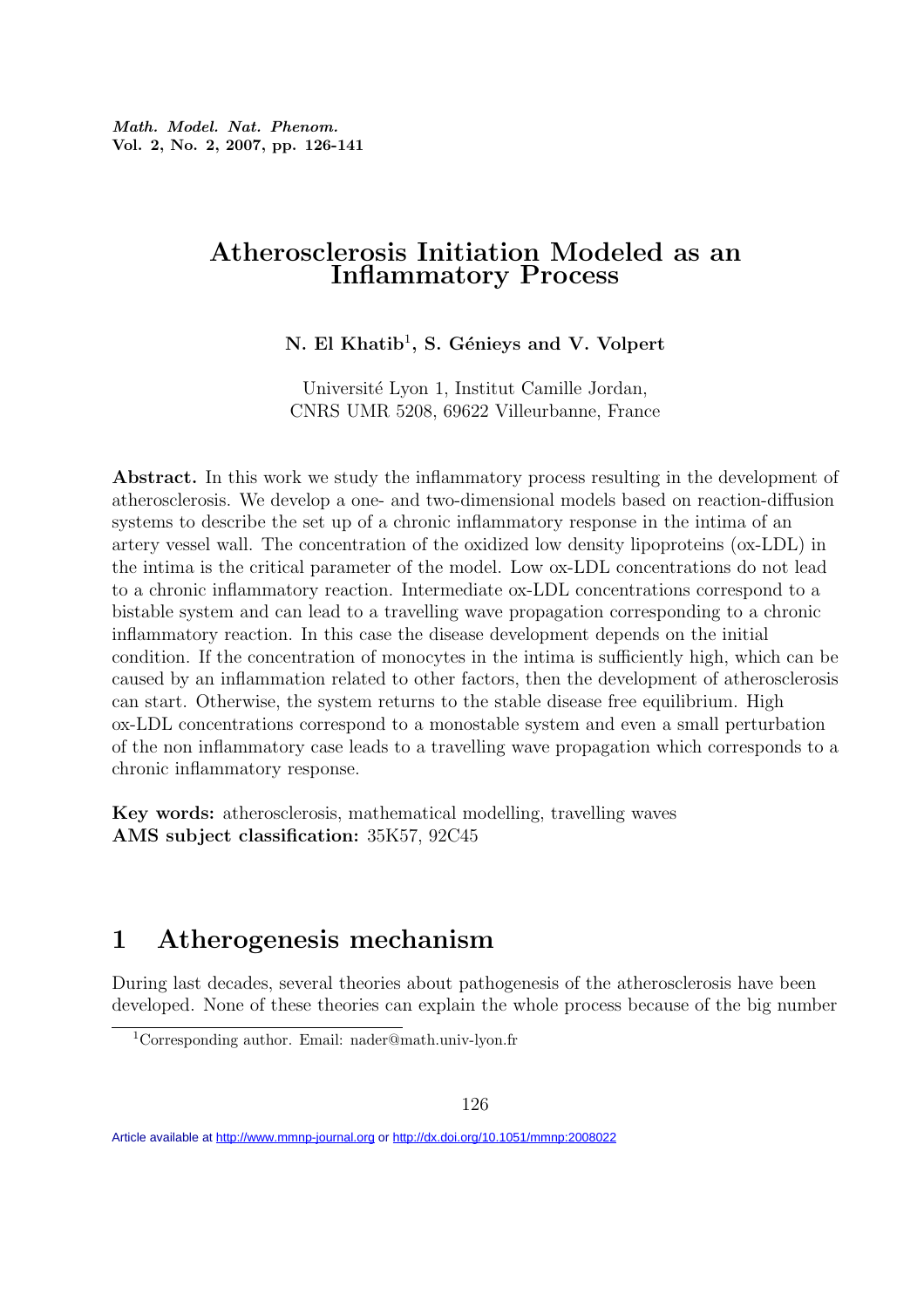### Atherosclerosis Initiation Modeled as an Inflammatory Process

N. El Khatib<sup>1</sup>, S. Génieys and V. Volpert

Université Lyon 1, Institut Camille Jordan, CNRS UMR 5208, 69622 Villeurbanne, France

Abstract. In this work we study the inflammatory process resulting in the development of atherosclerosis. We develop a one- and two-dimensional models based on reaction-diffusion systems to describe the set up of a chronic inflammatory response in the intima of an artery vessel wall. The concentration of the oxidized low density lipoproteins (ox-LDL) in the intima is the critical parameter of the model. Low ox-LDL concentrations do not lead to a chronic inflammatory reaction. Intermediate ox-LDL concentrations correspond to a bistable system and can lead to a travelling wave propagation corresponding to a chronic inflammatory reaction. In this case the disease development depends on the initial condition. If the concentration of monocytes in the intima is sufficiently high, which can be caused by an inflammation related to other factors, then the development of atherosclerosis can start. Otherwise, the system returns to the stable disease free equilibrium. High ox-LDL concentrations correspond to a monostable system and even a small perturbation of the non inflammatory case leads to a travelling wave propagation which corresponds to a chronic inflammatory response.

Key words: atherosclerosis, mathematical modelling, travelling waves AMS subject classification: 35K57, 92C45

# 1 Atherogenesis mechanism

During last decades, several theories about pathogenesis of the atherosclerosis have been developed. None of these theories can explain the whole process because of the big number

<sup>1</sup>Corresponding author. Email: nader@math.univ-lyon.fr

Article available at<http://www.mmnp-journal.org> or <http://dx.doi.org/10.1051/mmnp:2008022>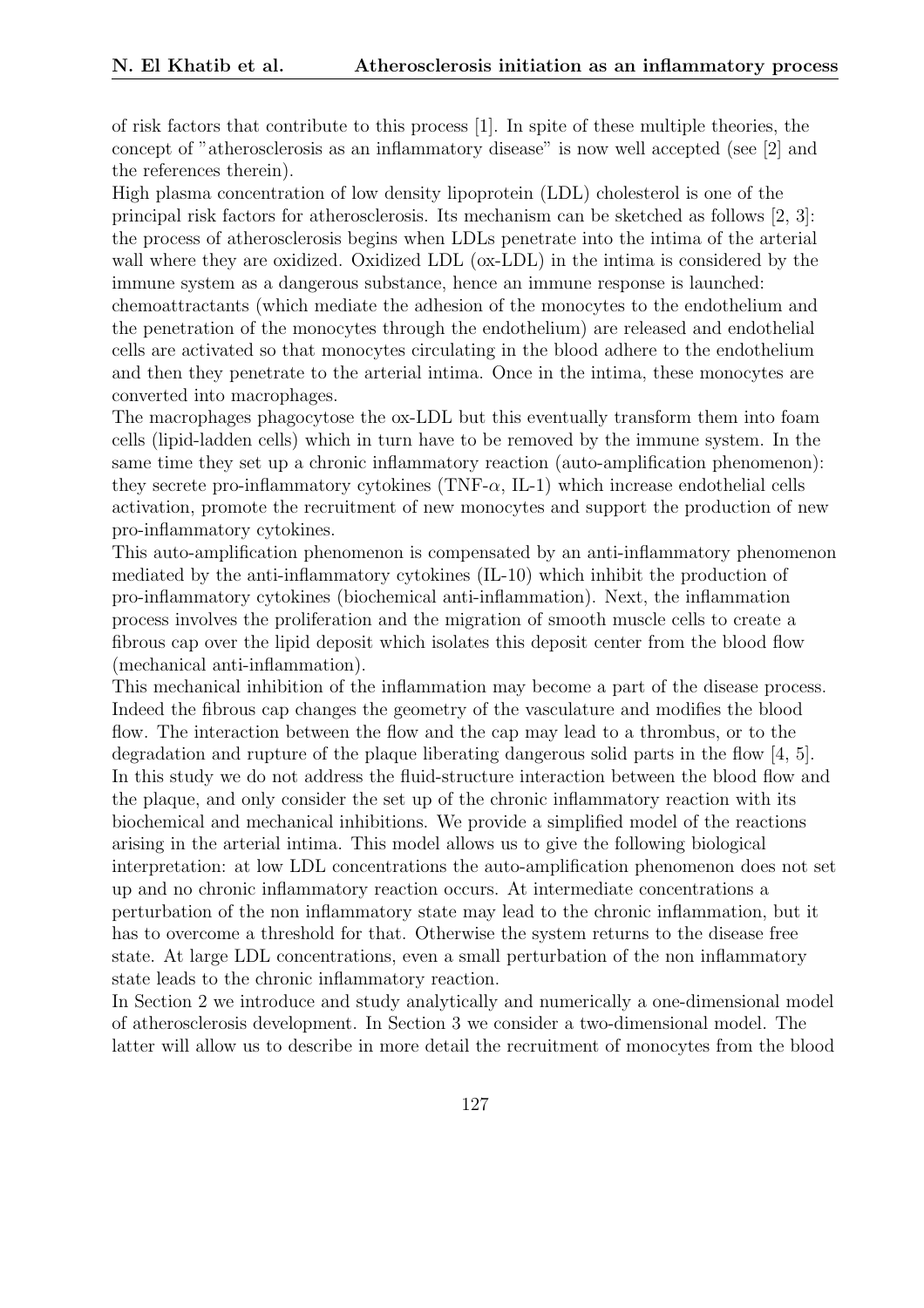of risk factors that contribute to this process [1]. In spite of these multiple theories, the concept of "atherosclerosis as an inflammatory disease" is now well accepted (see [2] and the references therein).

High plasma concentration of low density lipoprotein (LDL) cholesterol is one of the principal risk factors for atherosclerosis. Its mechanism can be sketched as follows [2, 3]: the process of atherosclerosis begins when LDLs penetrate into the intima of the arterial wall where they are oxidized. Oxidized LDL (ox-LDL) in the intima is considered by the immune system as a dangerous substance, hence an immune response is launched: chemoattractants (which mediate the adhesion of the monocytes to the endothelium and the penetration of the monocytes through the endothelium) are released and endothelial cells are activated so that monocytes circulating in the blood adhere to the endothelium and then they penetrate to the arterial intima. Once in the intima, these monocytes are converted into macrophages.

The macrophages phagocytose the ox-LDL but this eventually transform them into foam cells (lipid-ladden cells) which in turn have to be removed by the immune system. In the same time they set up a chronic inflammatory reaction (auto-amplification phenomenon): they secrete pro-inflammatory cytokines  $(TNF-\alpha, IL-1)$  which increase endothelial cells activation, promote the recruitment of new monocytes and support the production of new pro-inflammatory cytokines.

This auto-amplification phenomenon is compensated by an anti-inflammatory phenomenon mediated by the anti-inflammatory cytokines (IL-10) which inhibit the production of pro-inflammatory cytokines (biochemical anti-inflammation). Next, the inflammation process involves the proliferation and the migration of smooth muscle cells to create a fibrous cap over the lipid deposit which isolates this deposit center from the blood flow (mechanical anti-inflammation).

This mechanical inhibition of the inflammation may become a part of the disease process. Indeed the fibrous cap changes the geometry of the vasculature and modifies the blood flow. The interaction between the flow and the cap may lead to a thrombus, or to the degradation and rupture of the plaque liberating dangerous solid parts in the flow [4, 5]. In this study we do not address the fluid-structure interaction between the blood flow and the plaque, and only consider the set up of the chronic inflammatory reaction with its biochemical and mechanical inhibitions. We provide a simplified model of the reactions arising in the arterial intima. This model allows us to give the following biological interpretation: at low LDL concentrations the auto-amplification phenomenon does not set up and no chronic inflammatory reaction occurs. At intermediate concentrations a perturbation of the non inflammatory state may lead to the chronic inflammation, but it has to overcome a threshold for that. Otherwise the system returns to the disease free state. At large LDL concentrations, even a small perturbation of the non inflammatory state leads to the chronic inflammatory reaction.

In Section 2 we introduce and study analytically and numerically a one-dimensional model of atherosclerosis development. In Section 3 we consider a two-dimensional model. The latter will allow us to describe in more detail the recruitment of monocytes from the blood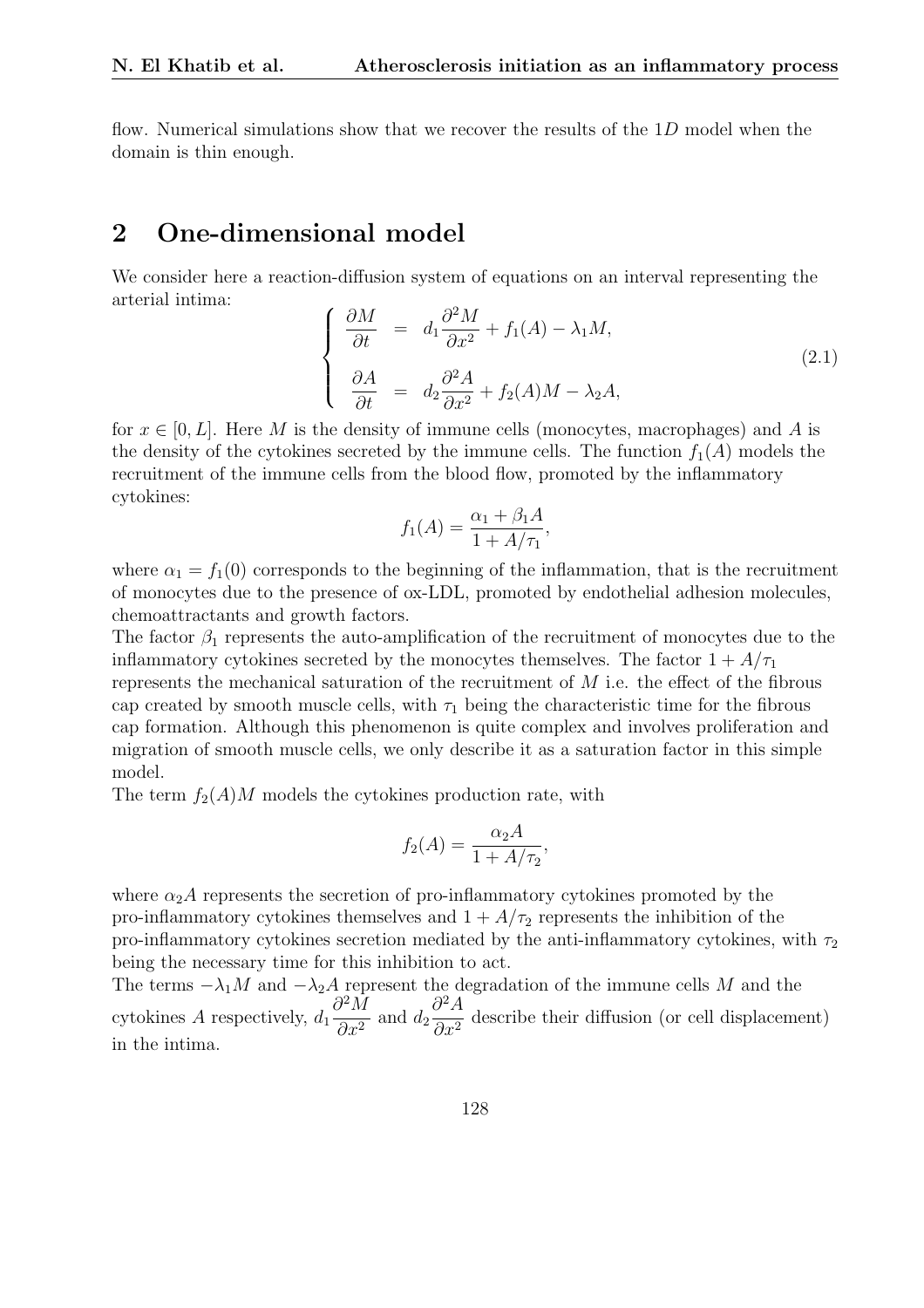flow. Numerical simulations show that we recover the results of the 1D model when the domain is thin enough.

### 2 One-dimensional model

We consider here a reaction-diffusion system of equations on an interval representing the arterial intima:  $\overline{ }$ 

$$
\begin{cases}\n\frac{\partial M}{\partial t} = d_1 \frac{\partial^2 M}{\partial x^2} + f_1(A) - \lambda_1 M, \\
\frac{\partial A}{\partial t} = d_2 \frac{\partial^2 A}{\partial x^2} + f_2(A)M - \lambda_2 A,\n\end{cases} \tag{2.1}
$$

for  $x \in [0, L]$ . Here M is the density of immune cells (monocytes, macrophages) and A is the density of the cytokines secreted by the immune cells. The function  $f_1(A)$  models the recruitment of the immune cells from the blood flow, promoted by the inflammatory cytokines:

$$
f_1(A) = \frac{\alpha_1 + \beta_1 A}{1 + A/\tau_1},
$$

where  $\alpha_1 = f_1(0)$  corresponds to the beginning of the inflammation, that is the recruitment of monocytes due to the presence of ox-LDL, promoted by endothelial adhesion molecules, chemoattractants and growth factors.

The factor  $\beta_1$  represents the auto-amplification of the recruitment of monocytes due to the inflammatory cytokines secreted by the monocytes themselves. The factor  $1 + A/\tau_1$ represents the mechanical saturation of the recruitment of M i.e. the effect of the fibrous cap created by smooth muscle cells, with  $\tau_1$  being the characteristic time for the fibrous cap formation. Although this phenomenon is quite complex and involves proliferation and migration of smooth muscle cells, we only describe it as a saturation factor in this simple model.

The term  $f_2(A)M$  models the cytokines production rate, with

$$
f_2(A) = \frac{\alpha_2 A}{1 + A/\tau_2},
$$

where  $\alpha_2 A$  represents the secretion of pro-inflammatory cytokines promoted by the pro-inflammatory cytokines themselves and  $1 + A/\tau_2$  represents the inhibition of the pro-inflammatory cytokines secretion mediated by the anti-inflammatory cytokines, with  $\tau_2$ being the necessary time for this inhibition to act.

The terms  $-\lambda_1 M$  and  $-\lambda_2 A$  represent the degradation of the immune cells M and the cytokines  $A$  respectively,  $d_1$  $\partial^2 \bar{M}$  $\frac{\partial^2 u}{\partial x^2}$  and  $d_2$  $\partial^2 A$  $\frac{\partial^2 H}{\partial x^2}$  describe their diffusion (or cell displacement) in the intima.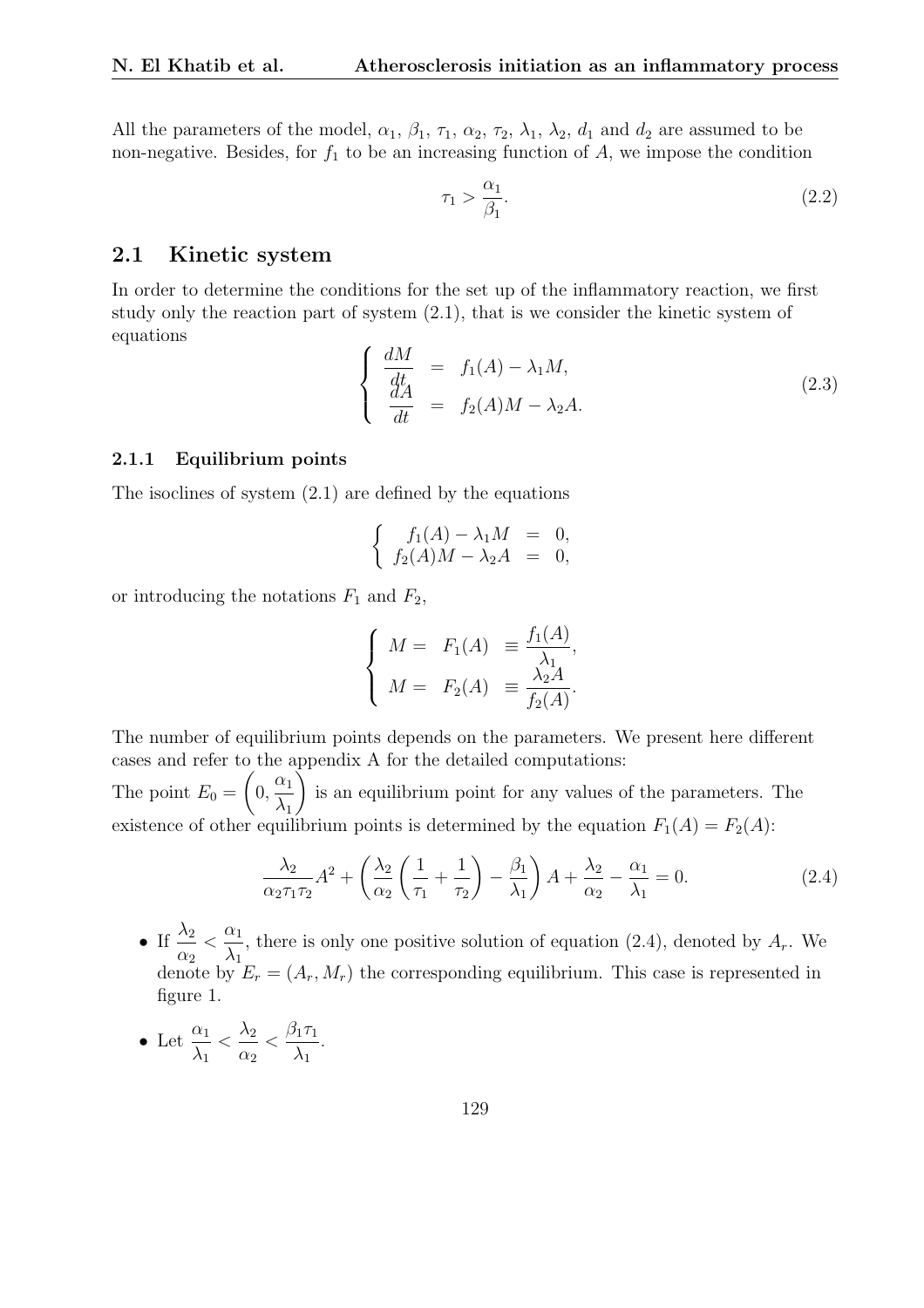All the parameters of the model,  $\alpha_1$ ,  $\beta_1$ ,  $\tau_1$ ,  $\alpha_2$ ,  $\tau_2$ ,  $\lambda_1$ ,  $\lambda_2$ ,  $d_1$  and  $d_2$  are assumed to be non-negative. Besides, for  $f_1$  to be an increasing function of A, we impose the condition

$$
\tau_1 > \frac{\alpha_1}{\beta_1}.\tag{2.2}
$$

### 2.1 Kinetic system

In order to determine the conditions for the set up of the inflammatory reaction, we first study only the reaction part of system (2.1), that is we consider the kinetic system of equations  $\overline{ }$ 

$$
\begin{cases}\n\frac{dM}{dt} = f_1(A) - \lambda_1 M, \\
\frac{dA}{dt} = f_2(A)M - \lambda_2 A.\n\end{cases}
$$
\n(2.3)

#### 2.1.1 Equilibrium points

The isoclines of system (2.1) are defined by the equations

$$
\begin{cases}\nf_1(A) - \lambda_1 M = 0, \\
f_2(A)M - \lambda_2 A = 0,\n\end{cases}
$$

or introducing the notations  $F_1$  and  $F_2$ ,

$$
\begin{cases}\nM = F_1(A) \equiv \frac{f_1(A)}{\lambda_1}, \\
M = F_2(A) \equiv \frac{\lambda_2 A}{f_2(A)}.\n\end{cases}
$$

The number of equilibrium points depends on the parameters. We present here different cases and refer to the appendix A for the detailed computations:

The point  $E_0 = \left(0, \frac{\alpha_1}{\lambda}\right)$  $\lambda_1$ is an equilibrium point for any values of the parameters. The existence of other equilibrium points is determined by the equation  $F_1(A) = F_2(A)$ :

$$
\frac{\lambda_2}{\alpha_2 \tau_1 \tau_2} A^2 + \left( \frac{\lambda_2}{\alpha_2} \left( \frac{1}{\tau_1} + \frac{1}{\tau_2} \right) - \frac{\beta_1}{\lambda_1} \right) A + \frac{\lambda_2}{\alpha_2} - \frac{\alpha_1}{\lambda_1} = 0.
$$
 (2.4)

- If  $\frac{\lambda_2}{\cdot}$  $\alpha_2$  $\langle \frac{\alpha_1}{\lambda} \rangle$  $\lambda_1$ , there is only one positive solution of equation  $(2.4)$ , denoted by  $A_r$ . We denote by  $E_r = (A_r, M_r)$  the corresponding equilibrium. This case is represented in figure 1.
- Let  $\frac{\alpha_1}{\lambda}$  $\lambda_1$  $\langle \frac{\lambda_2}{\cdot} \rangle$  $\alpha_2$  $<\frac{\beta_1\tau_1}{\sqrt{2\pi}}$  $\lambda_1$

.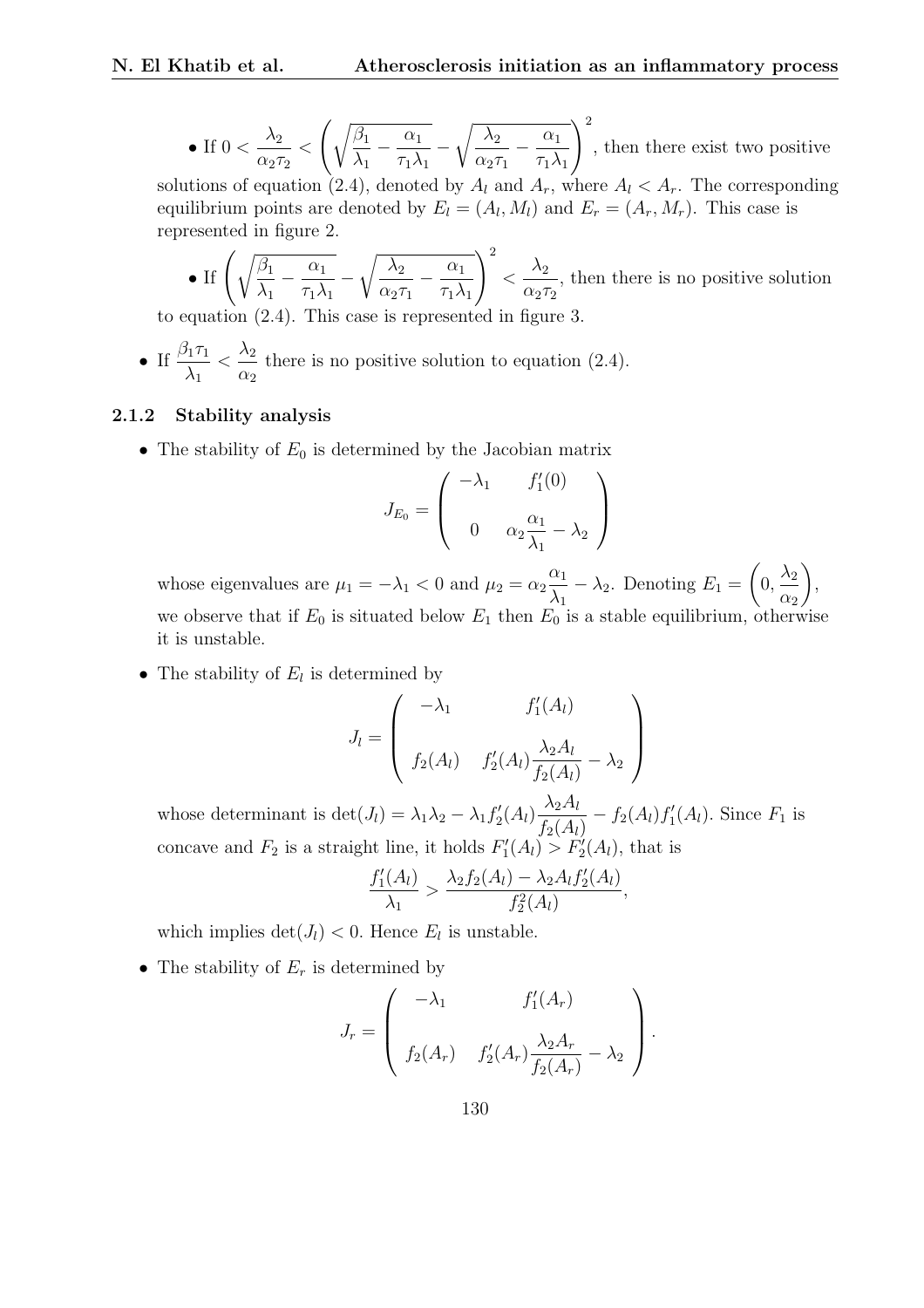• If 
$$
0 < \frac{\lambda_2}{\alpha_2 \tau_2} < \left(\sqrt{\frac{\beta_1}{\lambda_1} - \frac{\alpha_1}{\tau_1 \lambda_1}} - \sqrt{\frac{\lambda_2}{\alpha_2 \tau_1} - \frac{\alpha_1}{\tau_1 \lambda_1}}\right)^2
$$
, then there exist two positive

solutions of equation (2.4), denoted by  $A_l$  and  $A_r$ , where  $A_l < A_r$ . The corresponding equilibrium points are denoted by  $E_l = (A_l, M_l)$  and  $E_r = (A_r, M_r)$ . This case is represented in figure 2.

• If 
$$
\left(\sqrt{\frac{\beta_1}{\lambda_1} - \frac{\alpha_1}{\tau_1 \lambda_1}} - \sqrt{\frac{\lambda_2}{\alpha_2 \tau_1} - \frac{\alpha_1}{\tau_1 \lambda_1}}\right)^2 < \frac{\lambda_2}{\alpha_2 \tau_2}
$$
, then there is no positive solution

to equation (2.4). This case is represented in figure 3.

• If  $\frac{\beta_1 \tau_1}{\sqrt{2\pi}}$  $\lambda_1$  $\langle \frac{\lambda_2}{\cdot} \rangle$  $\alpha_2$ there is no positive solution to equation (2.4).

#### 2.1.2 Stability analysis

• The stability of  $E_0$  is determined by the Jacobian matrix

$$
J_{E_0} = \begin{pmatrix} -\lambda_1 & f'_1(0) \\ & & \\ 0 & \alpha_2 \frac{\alpha_1}{\lambda_1} - \lambda_2 \end{pmatrix}
$$

whose eigenvalues are  $\mu_1 = -\lambda_1 < 0$  and  $\mu_2 = \alpha_2$  $\alpha_1$  $\lambda_1$  $-\lambda_2$ . Denoting  $E_1 =$  $\overline{a}$  $0, \frac{\lambda_2}{\cdot \cdot \cdot}$  $\alpha_2$  $\mathbf{r}$ , we observe that if  $E_0$  is situated below  $E_1$  then  $E_0$  is a stable equilibrium, otherwise it is unstable.

• The stability of  $E_l$  is determined by

$$
J_{l} = \begin{pmatrix} -\lambda_{1} & f'_{1}(A_{l}) \\ f_{2}(A_{l}) & f'_{2}(A_{l}) \frac{\lambda_{2} A_{l}}{f_{2}(A_{l})} - \lambda_{2} \end{pmatrix}
$$

whose determinant is  $\det(J_l) = \lambda_1 \lambda_2 - \lambda_1 f'_2(A_l)$  $\lambda_2 A_l$  $f_2(A_l)$  $-f_2(A_l)f'_1(A_l)$ . Since  $F_1$  is concave and  $F_2$  is a straight line, it holds  $F_1'(A_l) > F_2'(A_l)$ , that is

$$
\frac{f'_1(A_l)}{\lambda_1} > \frac{\lambda_2 f_2(A_l) - \lambda_2 A_l f'_2(A_l)}{f_2^2(A_l)},
$$

which implies  $\det(J_l) < 0$ . Hence  $E_l$  is unstable.

• The stability of  $E_r$  is determined by

$$
J_r = \begin{pmatrix} -\lambda_1 & f'_1(A_r) \\ f_2(A_r) & f'_2(A_r) \frac{\lambda_2 A_r}{f_2(A_r)} - \lambda_2 \end{pmatrix}.
$$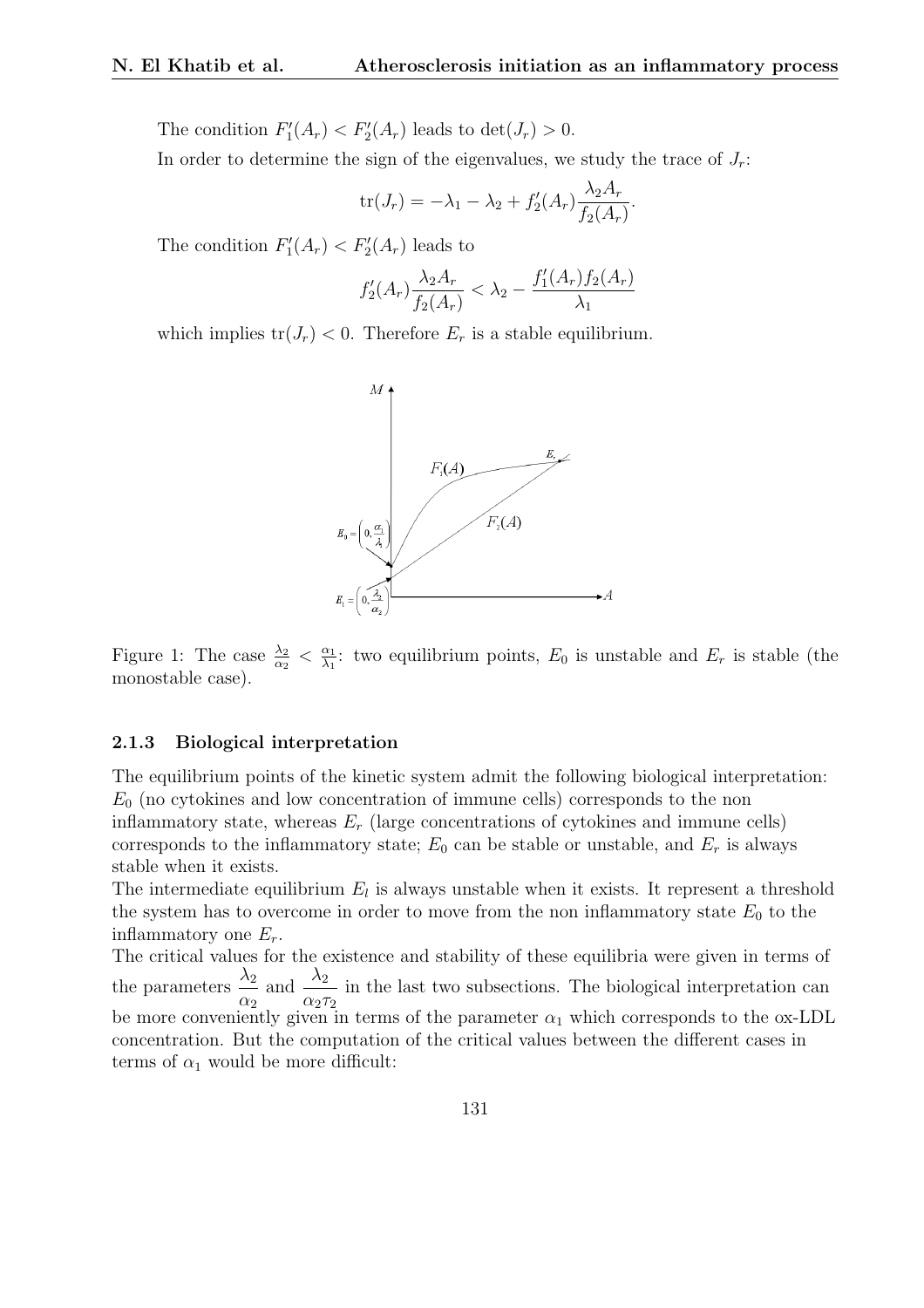The condition  $F_1'(A_r) < F_2'(A_r)$  leads to  $\det(J_r) > 0$ .

In order to determine the sign of the eigenvalues, we study the trace of  $J_r$ :

$$
\operatorname{tr}(J_r) = -\lambda_1 - \lambda_2 + f'_2(A_r) \frac{\lambda_2 A_r}{f_2(A_r)}.
$$

The condition  $F_1'(A_r) < F_2'(A_r)$  leads to

$$
f_2'(A_r)\frac{\lambda_2 A_r}{f_2(A_r)} < \lambda_2 - \frac{f_1'(A_r) f_2(A_r)}{\lambda_1}
$$

which implies  $tr(J_r) < 0$ . Therefore  $E_r$  is a stable equilibrium.



Figure 1: The case  $\frac{\lambda_2}{\alpha_2} < \frac{\alpha_1}{\lambda_1}$  $\frac{\alpha_1}{\lambda_1}$ : two equilibrium points,  $E_0$  is unstable and  $E_r$  is stable (the monostable case).

#### 2.1.3 Biological interpretation

The equilibrium points of the kinetic system admit the following biological interpretation:  $E_0$  (no cytokines and low concentration of immune cells) corresponds to the non inflammatory state, whereas  $E_r$  (large concentrations of cytokines and immune cells) corresponds to the inflammatory state;  $E_0$  can be stable or unstable, and  $E_r$  is always stable when it exists.

The intermediate equilibrium  $E_l$  is always unstable when it exists. It represent a threshold the system has to overcome in order to move from the non inflammatory state  $E_0$  to the inflammatory one  $E_r$ .

The critical values for the existence and stability of these equilibria were given in terms of the parameters  $\frac{\lambda_2}{\lambda_3}$  $\alpha_2$ and  $\frac{\lambda_2}{\lambda_3}$  $\alpha_2 \tau_2$ in the last two subsections. The biological interpretation can be more conveniently given in terms of the parameter  $\alpha_1$  which corresponds to the ox-LDL concentration. But the computation of the critical values between the different cases in terms of  $\alpha_1$  would be more difficult: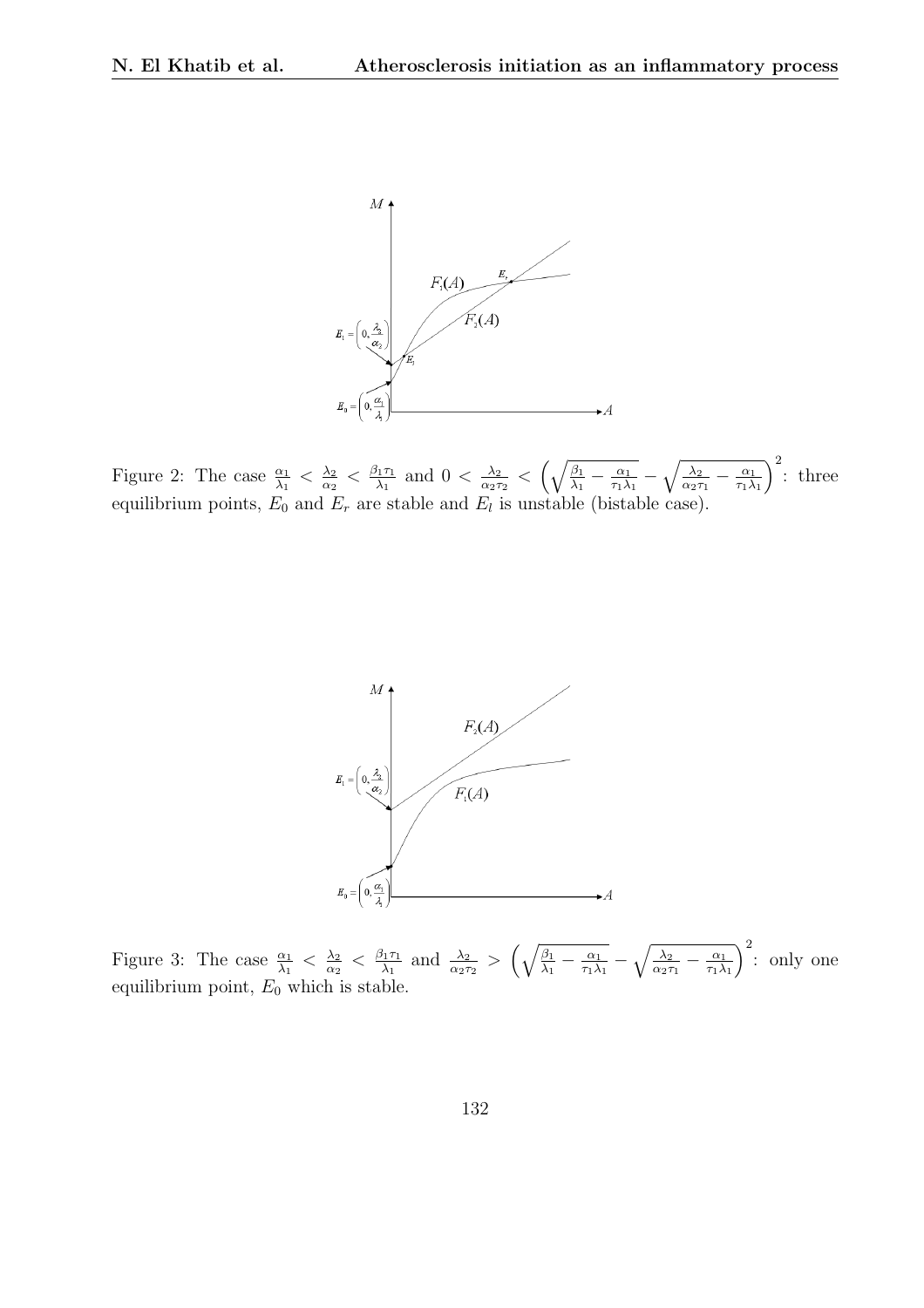

Figure 2: The case  $\frac{\alpha_1}{\lambda_1} < \frac{\lambda_2}{\alpha_2}$  $\frac{\lambda_2}{\alpha_2} < \frac{\beta_1 \tau_1}{\lambda_1}$  $\frac{\lambda_1 \tau_1}{\lambda_1}$  and  $0 < \frac{\lambda_2}{\alpha_2 \tau_1}$  $\frac{\lambda_2}{\alpha_2\tau_2} < \left(\sqrt{\frac{\beta_1}{\lambda_1}}\right)$  $\frac{\beta_1}{\lambda_1}-\frac{\alpha_1}{\tau_1\lambda}$  $\frac{\alpha_1}{\sigma_1\lambda_1}-\sqrt{\frac{\lambda_2}{\alpha_2\tau}}$  $\frac{\lambda_2}{\alpha_2\tau_1}-\frac{\alpha_1}{\tau_1\lambda}$  $\tau_1\lambda_1$  $\sqrt{2}$ : three equilibrium points,  $E_0$  and  $E_r$  are stable and  $E_l$  is unstable (bistable case).



Figure 3: The case  $\frac{\alpha_1}{\lambda_1} < \frac{\lambda_2}{\alpha_2}$  $\frac{\lambda_2}{\alpha_2} < \frac{\beta_1 \tau_1}{\lambda_1}$  $\frac{\lambda_1 \tau_1}{\lambda_1}$  and  $\frac{\lambda_2}{\alpha_2 \tau_2} > \left(\sqrt{\frac{\beta_1}{\lambda_1}}\right)$  $\frac{\beta_1}{\lambda_1}-\frac{\alpha_1}{\tau_1\lambda}$  $\frac{\alpha_1}{\tau_1\lambda_1}-\sqrt{\frac{\lambda_2}{\alpha_2\tau}}$  $\frac{\lambda_2}{\alpha_2\tau_1}-\frac{\alpha_1}{\tau_1\lambda}$  $\tau_1\lambda_1$  $\sqrt{2}$ : only one equilibrium point,  $E_0$  which is stable.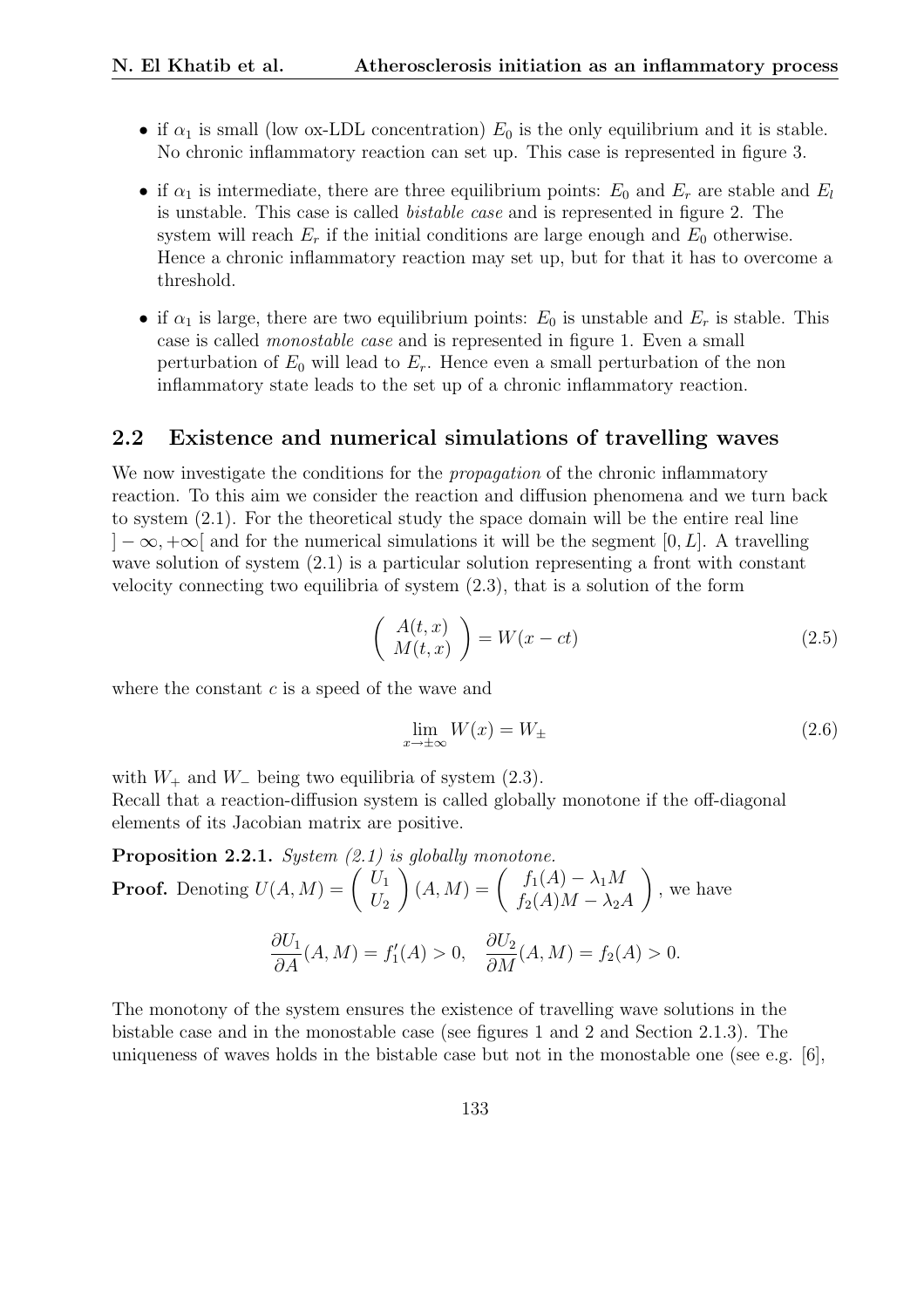- if  $\alpha_1$  is small (low ox-LDL concentration)  $E_0$  is the only equilibrium and it is stable. No chronic inflammatory reaction can set up. This case is represented in figure 3.
- if  $\alpha_1$  is intermediate, there are three equilibrium points:  $E_0$  and  $E_r$  are stable and  $E_l$ is unstable. This case is called bistable case and is represented in figure 2. The system will reach  $E_r$  if the initial conditions are large enough and  $E_0$  otherwise. Hence a chronic inflammatory reaction may set up, but for that it has to overcome a threshold.
- if  $\alpha_1$  is large, there are two equilibrium points:  $E_0$  is unstable and  $E_r$  is stable. This case is called monostable case and is represented in figure 1. Even a small perturbation of  $E_0$  will lead to  $E_r$ . Hence even a small perturbation of the non inflammatory state leads to the set up of a chronic inflammatory reaction.

### 2.2 Existence and numerical simulations of travelling waves

We now investigate the conditions for the *propagation* of the chronic inflammatory reaction. To this aim we consider the reaction and diffusion phenomena and we turn back to system (2.1). For the theoretical study the space domain will be the entire real line  $]-\infty, +\infty[$  and for the numerical simulations it will be the segment [0, L]. A travelling wave solution of system (2.1) is a particular solution representing a front with constant velocity connecting two equilibria of system (2.3), that is a solution of the form

$$
\left(\begin{array}{c} A(t,x) \\ M(t,x) \end{array}\right) = W(x-ct) \tag{2.5}
$$

where the constant  $c$  is a speed of the wave and

$$
\lim_{x \to \pm \infty} W(x) = W_{\pm}
$$
\n(2.6)

with  $W_+$  and  $W_-\$  being two equilibria of system (2.3). Recall that a reaction-diffusion system is called globally monotone if the off-diagonal elements of its Jacobian matrix are positive.

**Proposition 2.2.1.** System (2.1) is globally monotone.<br> **Proof.** Denoting  $U(A, M) = \begin{pmatrix} U_1 \\ U_1 \end{pmatrix} (A, M) = \begin{pmatrix} f_1(A) \\ f_2(A) \end{pmatrix}$  $U_2$  $\left(\begin{array}{c} \text{g} \text{,} \\ \text{g} \text{,} \\ \text{h} \end{array}\right) (A, M) = \left(\begin{array}{c} f_1(A) - \lambda_1 M \\ f_2(A) M \end{array}\right)$  $f_2(A)M - \lambda_2 A$  $\mathbf{r}$ , we have  $\partial U_1$  $\frac{\partial U_1}{\partial A}(A, M) = f'_1(A) > 0, \quad \frac{\partial U_2}{\partial M}$  $\frac{\partial \mathcal{O}_2}{\partial M}(A, M) = f_2(A) > 0.$ 

The monotony of the system ensures the existence of travelling wave solutions in the bistable case and in the monostable case (see figures 1 and 2 and Section 2.1.3). The uniqueness of waves holds in the bistable case but not in the monostable one (see e.g. [6],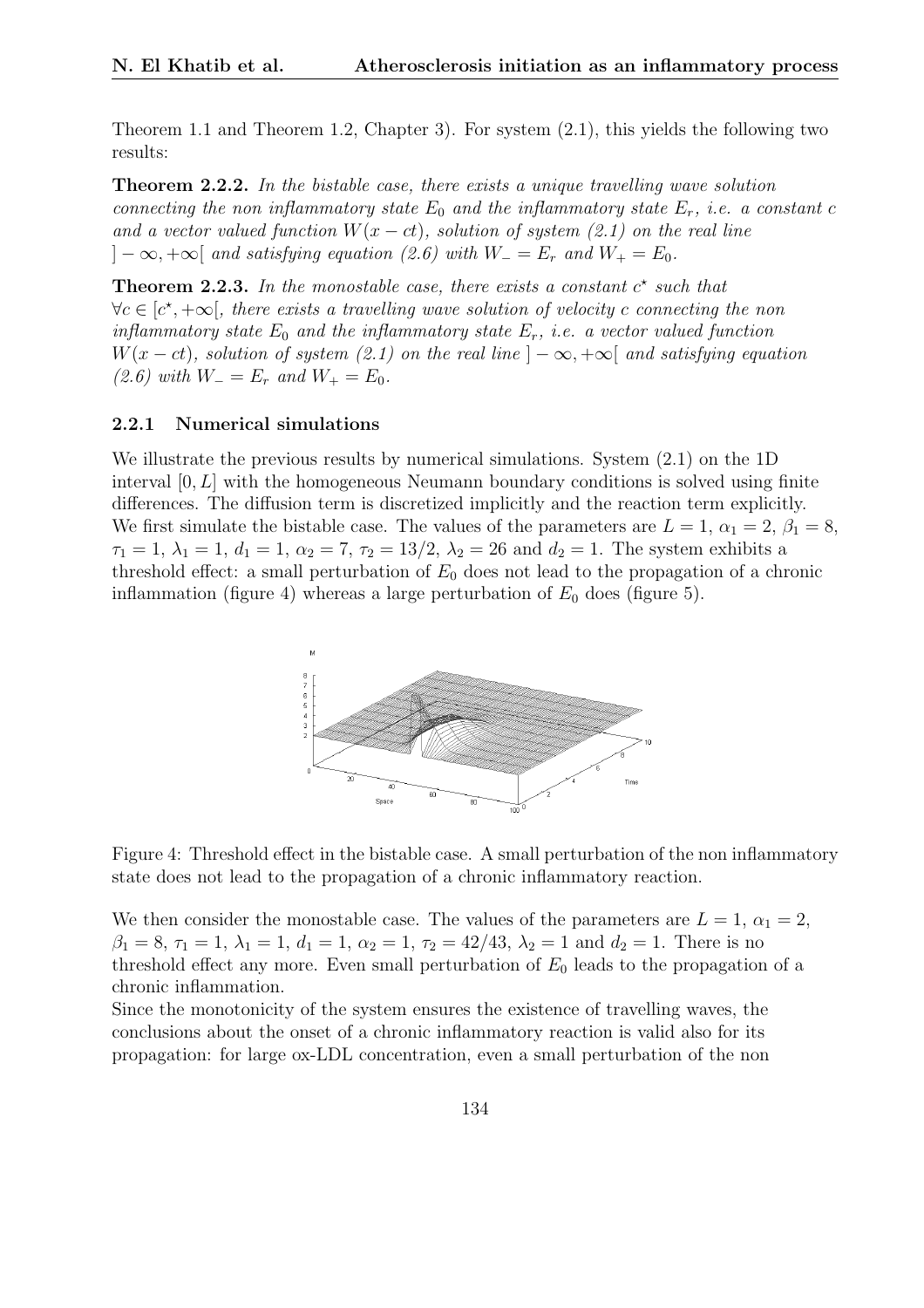Theorem 1.1 and Theorem 1.2, Chapter 3). For system (2.1), this yields the following two results:

Theorem 2.2.2. In the bistable case, there exists a unique travelling wave solution connecting the non inflammatory state  $E_0$  and the inflammatory state  $E_r$ , i.e. a constant c and a vector valued function  $W(x-ct)$ , solution of system (2.1) on the real line  $]-\infty, +\infty[$  and satisfying equation (2.6) with  $W_-=E_r$  and  $W_+=E_0$ .

**Theorem 2.2.3.** In the monostable case, there exists a constant  $c^*$  such that  $\forall c \in [c^*, +\infty],$  there exists a travelling wave solution of velocity c connecting the non inflammatory state  $E_0$  and the inflammatory state  $E_r$ , i.e. a vector valued function  $W(x-ct)$ , solution of system (2.1) on the real line  $]-\infty, +\infty[$  and satisfying equation (2.6) with  $W_-=E_r$  and  $W_+=E_0$ .

#### 2.2.1 Numerical simulations

We illustrate the previous results by numerical simulations. System  $(2.1)$  on the 1D interval  $[0, L]$  with the homogeneous Neumann boundary conditions is solved using finite differences. The diffusion term is discretized implicitly and the reaction term explicitly. We first simulate the bistable case. The values of the parameters are  $L = 1$ ,  $\alpha_1 = 2$ ,  $\beta_1 = 8$ ,  $\tau_1 = 1, \lambda_1 = 1, d_1 = 1, \alpha_2 = 7, \tau_2 = 13/2, \lambda_2 = 26 \text{ and } d_2 = 1.$  The system exhibits a threshold effect: a small perturbation of  $E_0$  does not lead to the propagation of a chronic inflammation (figure 4) whereas a large perturbation of  $E_0$  does (figure 5).



Figure 4: Threshold effect in the bistable case. A small perturbation of the non inflammatory state does not lead to the propagation of a chronic inflammatory reaction.

We then consider the monostable case. The values of the parameters are  $L = 1$ ,  $\alpha_1 = 2$ ,  $\beta_1 = 8, \tau_1 = 1, \lambda_1 = 1, d_1 = 1, \alpha_2 = 1, \tau_2 = 42/43, \lambda_2 = 1$  and  $d_2 = 1$ . There is no threshold effect any more. Even small perturbation of  $E_0$  leads to the propagation of a chronic inflammation.

Since the monotonicity of the system ensures the existence of travelling waves, the conclusions about the onset of a chronic inflammatory reaction is valid also for its propagation: for large ox-LDL concentration, even a small perturbation of the non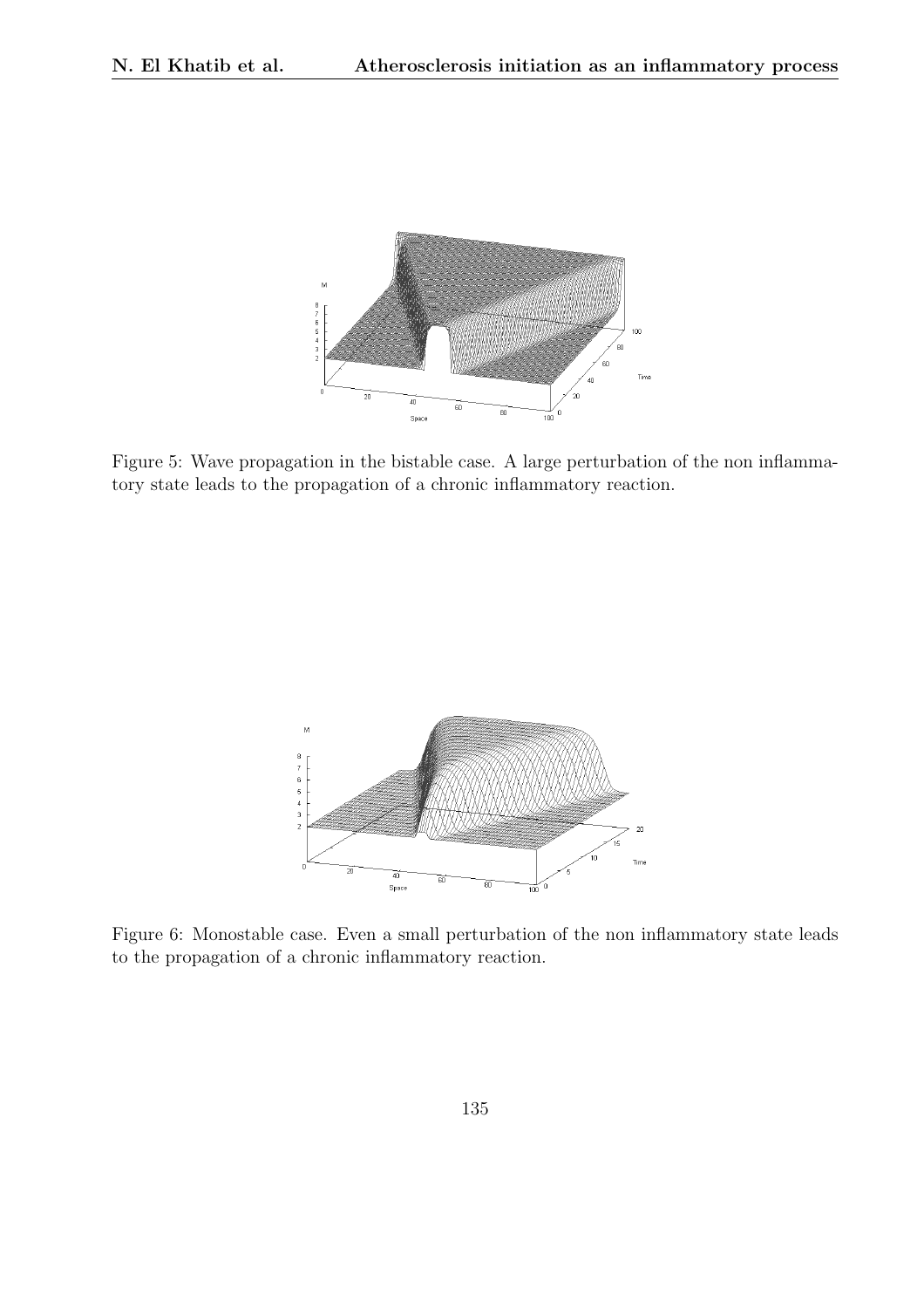

Figure 5: Wave propagation in the bistable case. A large perturbation of the non inflammatory state leads to the propagation of a chronic inflammatory reaction.



Figure 6: Monostable case. Even a small perturbation of the non inflammatory state leads to the propagation of a chronic inflammatory reaction.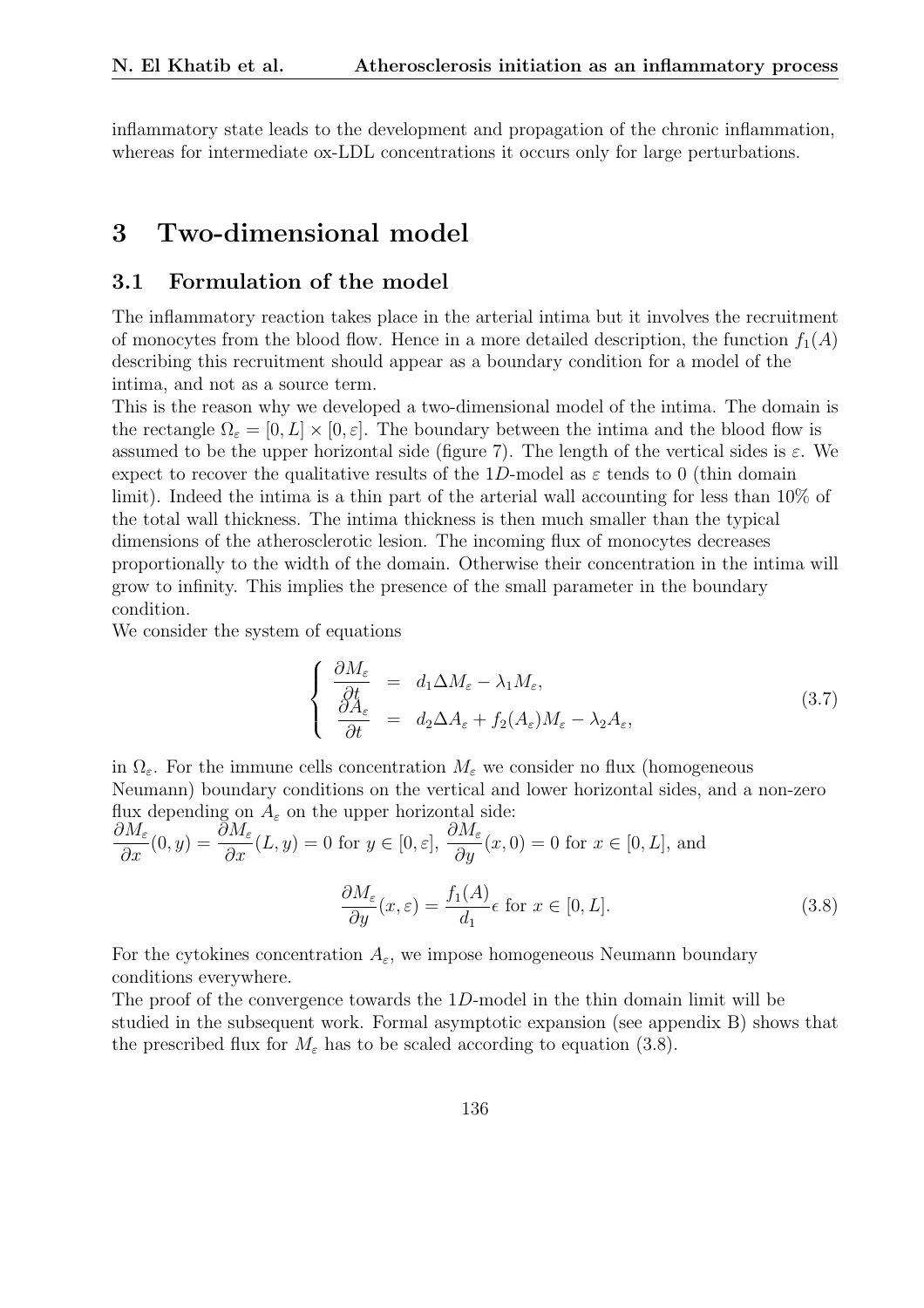inflammatory state leads to the development and propagation of the chronic inflammation, whereas for intermediate ox-LDL concentrations it occurs only for large perturbations.

## 3 Two-dimensional model

### 3.1 Formulation of the model

The inflammatory reaction takes place in the arterial intima but it involves the recruitment of monocytes from the blood flow. Hence in a more detailed description, the function  $f_1(A)$ describing this recruitment should appear as a boundary condition for a model of the intima, and not as a source term.

This is the reason why we developed a two-dimensional model of the intima. The domain is the rectangle  $\Omega_{\varepsilon} = [0, L] \times [0, \varepsilon]$ . The boundary between the intima and the blood flow is assumed to be the upper horizontal side (figure 7). The length of the vertical sides is  $\varepsilon$ . We expect to recover the qualitative results of the 1D-model as  $\varepsilon$  tends to 0 (thin domain limit). Indeed the intima is a thin part of the arterial wall accounting for less than 10% of the total wall thickness. The intima thickness is then much smaller than the typical dimensions of the atherosclerotic lesion. The incoming flux of monocytes decreases proportionally to the width of the domain. Otherwise their concentration in the intima will grow to infinity. This implies the presence of the small parameter in the boundary condition.

We consider the system of equations

$$
\begin{cases}\n\frac{\partial M_{\varepsilon}}{\partial t} = d_1 \Delta M_{\varepsilon} - \lambda_1 M_{\varepsilon}, \n\frac{\partial A_{\varepsilon}}{\partial t} = d_2 \Delta A_{\varepsilon} + f_2(A_{\varepsilon}) M_{\varepsilon} - \lambda_2 A_{\varepsilon},\n\end{cases} (3.7)
$$

in  $\Omega_{\varepsilon}$ . For the immune cells concentration  $M_{\varepsilon}$  we consider no flux (homogeneous Neumann) boundary conditions on the vertical and lower horizontal sides, and a non-zero flux depending on  $A_{\varepsilon}$  on the upper horizontal side:  $\frac{\partial M_{\varepsilon}}{\partial x}(0, y) = \frac{\partial M_{\varepsilon}}{\partial x}(L, y) = 0 \text{ for } y \in [0, \varepsilon], \frac{\partial M_{\varepsilon}}{\partial y}(x, 0) = 0 \text{ for } x \in [0, L], \text{ and}$  $\frac{\partial M_{\varepsilon}}{\partial y}(x,\varepsilon) = \frac{f_1(A)}{d_1}$  $\epsilon$  for  $x \in [0, L].$  (3.8)

For the cytokines concentration  $A_{\varepsilon}$ , we impose homogeneous Neumann boundary conditions everywhere.

The proof of the convergence towards the 1D-model in the thin domain limit will be studied in the subsequent work. Formal asymptotic expansion (see appendix B) shows that the prescribed flux for  $M<sub>\epsilon</sub>$  has to be scaled according to equation (3.8).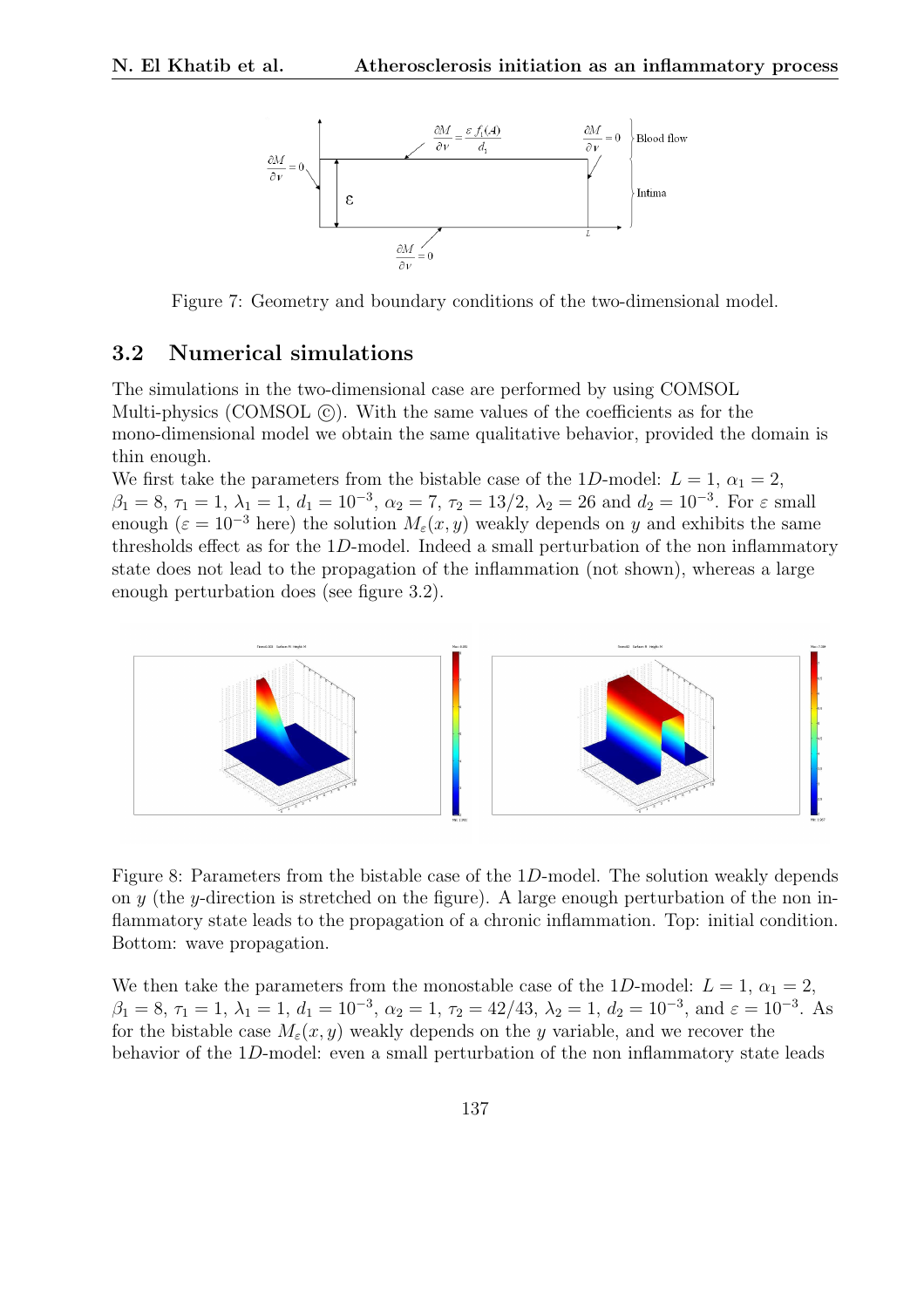

Figure 7: Geometry and boundary conditions of the two-dimensional model.

#### 3.2 Numerical simulations

The simulations in the two-dimensional case are performed by using COMSOL Multi-physics (COMSOL  $\odot$ ). With the same values of the coefficients as for the mono-dimensional model we obtain the same qualitative behavior, provided the domain is thin enough.

We first take the parameters from the bistable case of the 1D-model:  $L = 1$ ,  $\alpha_1 = 2$ ,  $\beta_1 = 8, \tau_1 = 1, \lambda_1 = 1, d_1 = 10^{-3}, \alpha_2 = 7, \tau_2 = 13/2, \lambda_2 = 26 \text{ and } d_2 = 10^{-3}.$  For  $\varepsilon$  small enough ( $\varepsilon = 10^{-3}$  here) the solution  $M_{\varepsilon}(x, y)$  weakly depends on y and exhibits the same thresholds effect as for the 1D-model. Indeed a small perturbation of the non inflammatory state does not lead to the propagation of the inflammation (not shown), whereas a large enough perturbation does (see figure 3.2).



Figure 8: Parameters from the bistable case of the 1D-model. The solution weakly depends on  $\gamma$  (the  $\gamma$ -direction is stretched on the figure). A large enough perturbation of the non inflammatory state leads to the propagation of a chronic inflammation. Top: initial condition. Bottom: wave propagation.

We then take the parameters from the monostable case of the 1D-model:  $L = 1$ ,  $\alpha_1 = 2$ ,  $\beta_1 = 8, \tau_1 = 1, \lambda_1 = 1, d_1 = 10^{-3}, \alpha_2 = 1, \tau_2 = 42/43, \lambda_2 = 1, d_2 = 10^{-3}, \text{ and } \varepsilon = 10^{-3}.$  As for the bistable case  $M_{\varepsilon}(x, y)$  weakly depends on the y variable, and we recover the behavior of the 1D-model: even a small perturbation of the non inflammatory state leads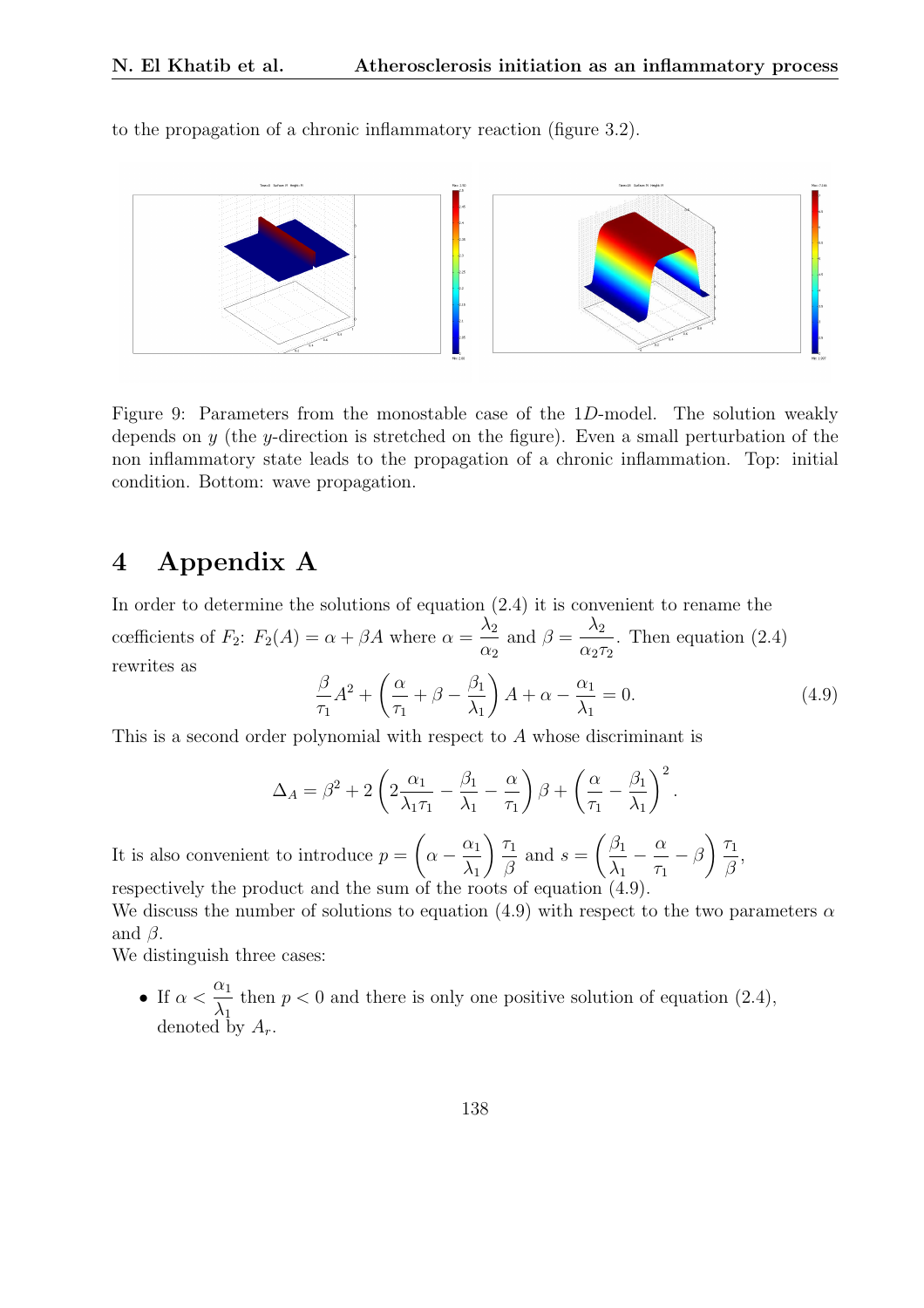to the propagation of a chronic inflammatory reaction (figure 3.2).



Figure 9: Parameters from the monostable case of the 1D-model. The solution weakly depends on y (the y-direction is stretched on the figure). Even a small perturbation of the non inflammatory state leads to the propagation of a chronic inflammation. Top: initial condition. Bottom: wave propagation.

### 4 Appendix A

In order to determine the solutions of equation (2.4) it is convenient to rename the cœfficients of  $F_2$ :  $F_2(A) = \alpha + \beta A$  where  $\alpha =$  $\lambda_2^+$  $\alpha_2$ and  $\beta = \frac{\lambda_2}{\lambda_1}$  $\alpha_2 \tau_2$ . Then equation (2.4) rewrites as  $\overline{a}$  $\mathbf{r}$ 

$$
\frac{\beta}{\tau_1}A^2 + \left(\frac{\alpha}{\tau_1} + \beta - \frac{\beta_1}{\lambda_1}\right)A + \alpha - \frac{\alpha_1}{\lambda_1} = 0.
$$
\n(4.9)

This is a second order polynomial with respect to A whose discriminant is

$$
\Delta_A = \beta^2 + 2\left(2\frac{\alpha_1}{\lambda_1\tau_1} - \frac{\beta_1}{\lambda_1} - \frac{\alpha}{\tau_1}\right)\beta + \left(\frac{\alpha}{\tau_1} - \frac{\beta_1}{\lambda_1}\right)^2.
$$

It is also convenient to introduce  $p =$  $\overline{a}$  $\alpha - \frac{\alpha_1}{\cdot}$  $\lambda_1$  $\mathbf{r}$  $\tau_1$ β and  $s =$  $\overline{a}$  $\beta_1$  $\lambda_1$ − α  $\tau_1$  $-\beta$  $\mathbf{r}$  $\tau_1$ β , respectively the product and the sum of the roots of equation (4.9).

We discuss the number of solutions to equation (4.9) with respect to the two parameters  $\alpha$ and  $\beta$ .

We distinguish three cases:

• If  $\alpha < \frac{\alpha_1}{\alpha_1}$  $\lambda_1$ then  $p < 0$  and there is only one positive solution of equation  $(2.4)$ , denoted by  $A_r$ .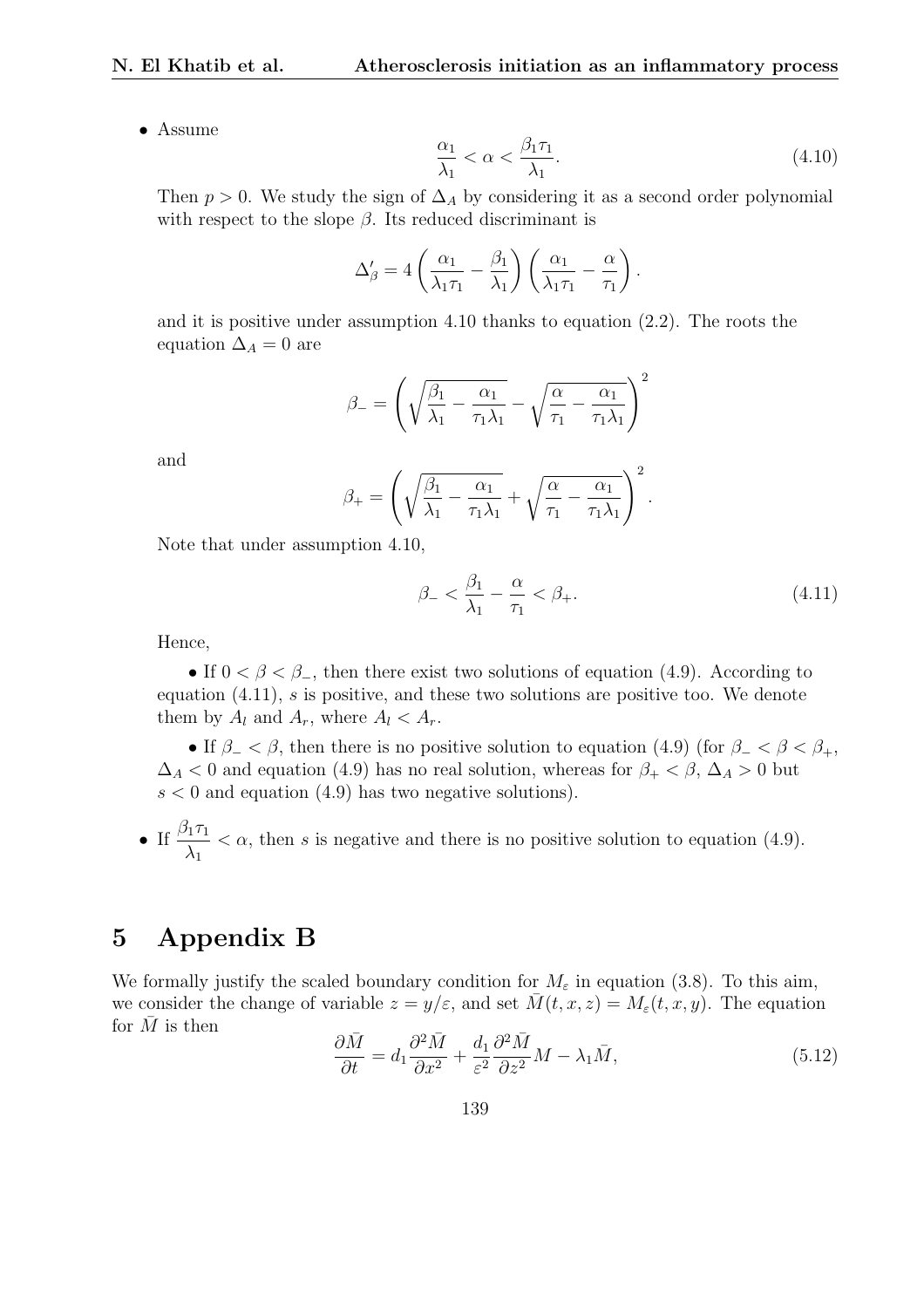• Assume

$$
\frac{\alpha_1}{\lambda_1} < \alpha < \frac{\beta_1 \tau_1}{\lambda_1}.\tag{4.10}
$$

.

Then  $p > 0$ . We study the sign of  $\Delta_A$  by considering it as a second order polynomial with respect to the slope  $\beta$ . Its reduced discriminant is

$$
\Delta'_{\beta} = 4 \left( \frac{\alpha_1}{\lambda_1 \tau_1} - \frac{\beta_1}{\lambda_1} \right) \left( \frac{\alpha_1}{\lambda_1 \tau_1} - \frac{\alpha}{\tau_1} \right)
$$

and it is positive under assumption 4.10 thanks to equation (2.2). The roots the equation  $\Delta_A = 0$  are

$$
\beta_{-} = \left(\sqrt{\frac{\beta_1}{\lambda_1} - \frac{\alpha_1}{\tau_1 \lambda_1}} - \sqrt{\frac{\alpha}{\tau_1} - \frac{\alpha_1}{\tau_1 \lambda_1}}\right)^2
$$

and

$$
\beta_{+} = \left(\sqrt{\frac{\beta_1}{\lambda_1} - \frac{\alpha_1}{\tau_1 \lambda_1}} + \sqrt{\frac{\alpha}{\tau_1} - \frac{\alpha_1}{\tau_1 \lambda_1}}\right)^2
$$

Note that under assumption 4.10,

$$
\beta_- < \frac{\beta_1}{\lambda_1} - \frac{\alpha}{\tau_1} < \beta_+.\tag{4.11}
$$

.

Hence,

• If  $0 < \beta < \beta$ , then there exist two solutions of equation (4.9). According to equation  $(4.11)$ , s is positive, and these two solutions are positive too. We denote them by  $A_l$  and  $A_r$ , where  $A_l < A_r$ .

• If  $\beta$  –  $\leq \beta$ , then there is no positive solution to equation (4.9) (for  $\beta$  –  $\leq \beta \leq \beta$ +,  $\Delta_A$  < 0 and equation (4.9) has no real solution, whereas for  $\beta_+$  <  $\beta$ ,  $\Delta_A$  > 0 but  $s < 0$  and equation (4.9) has two negative solutions).

• If  $\frac{\beta_1 \tau_1}{\lambda}$  $\lambda_1$  $\langle \alpha, \rangle$  then s is negative and there is no positive solution to equation (4.9).

## 5 Appendix B

We formally justify the scaled boundary condition for  $M_{\varepsilon}$  in equation (3.8). To this aim, we consider the change of variable  $z = y/\varepsilon$ , and set  $\overline{M}(t, x, z) = M_{\varepsilon}(t, x, y)$ . The equation for  $M$  is then

$$
\frac{\partial \bar{M}}{\partial t} = d_1 \frac{\partial^2 \bar{M}}{\partial x^2} + \frac{d_1}{\varepsilon^2} \frac{\partial^2 \bar{M}}{\partial z^2} M - \lambda_1 \bar{M},\tag{5.12}
$$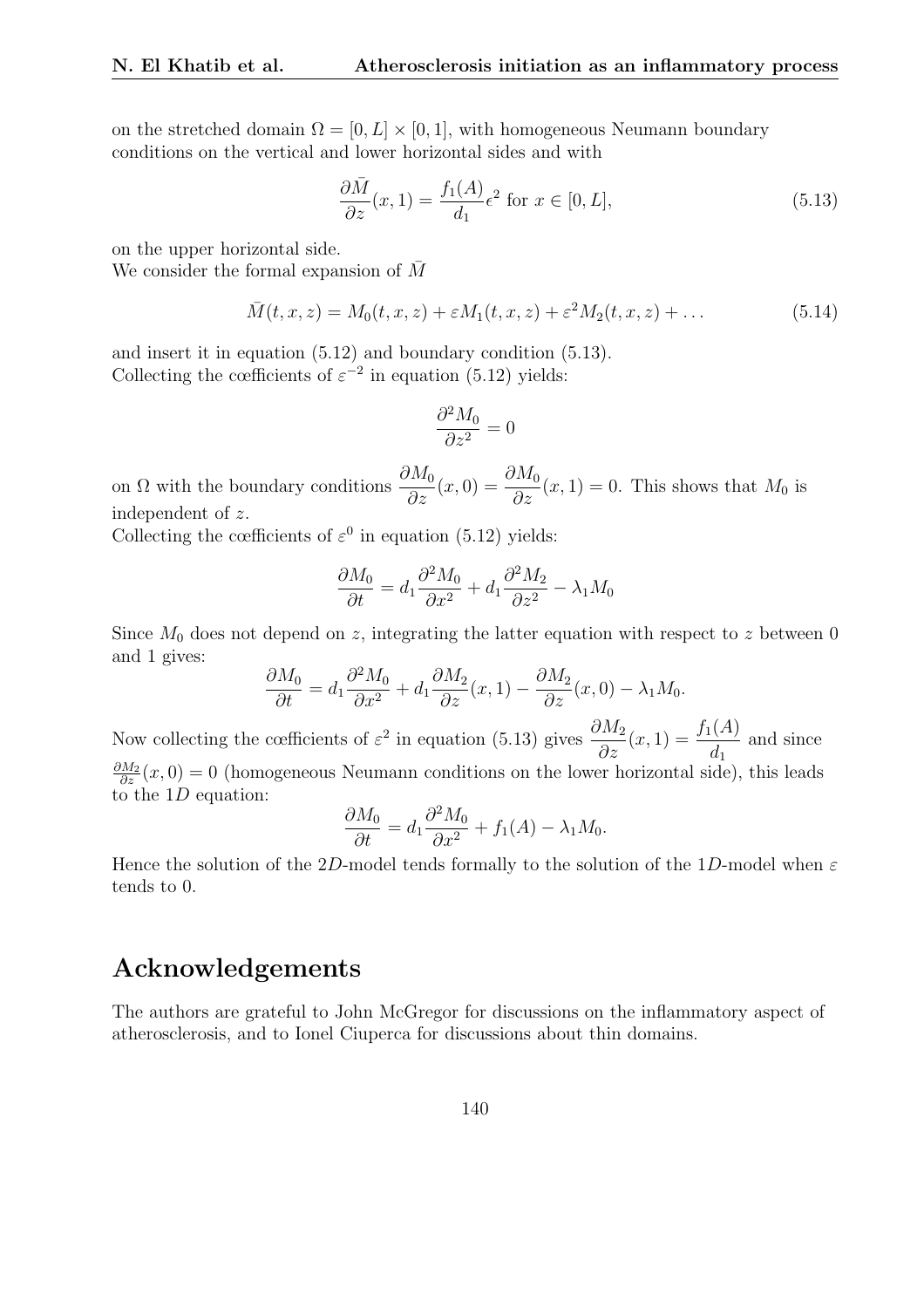on the stretched domain  $\Omega = [0, L] \times [0, 1]$ , with homogeneous Neumann boundary conditions on the vertical and lower horizontal sides and with

$$
\frac{\partial \bar{M}}{\partial z}(x,1) = \frac{f_1(A)}{d_1} \epsilon^2 \text{ for } x \in [0,L],\tag{5.13}
$$

on the upper horizontal side.

We consider the formal expansion of  $\overline{M}$ 

$$
\overline{M}(t,x,z) = M_0(t,x,z) + \varepsilon M_1(t,x,z) + \varepsilon^2 M_2(t,x,z) + \dots \tag{5.14}
$$

and insert it in equation (5.12) and boundary condition (5.13). Collecting the cœfficients of  $\varepsilon^{-2}$  in equation (5.12) yields:

$$
\frac{\partial^2 M_0}{\partial z^2} = 0
$$

on  $\Omega$  with the boundary conditions  $\frac{\partial M_0}{\partial z}(x,0) = \frac{\partial M_0}{\partial z}(x,1) = 0$ . This shows that  $M_0$  is independent of z.

Collecting the cœfficients of  $\varepsilon^0$  in equation (5.12) yields:

$$
\frac{\partial M_0}{\partial t} = d_1 \frac{\partial^2 M_0}{\partial x^2} + d_1 \frac{\partial^2 M_2}{\partial z^2} - \lambda_1 M_0
$$

Since  $M_0$  does not depend on z, integrating the latter equation with respect to z between 0 and 1 gives:

$$
\frac{\partial M_0}{\partial t} = d_1 \frac{\partial^2 M_0}{\partial x^2} + d_1 \frac{\partial M_2}{\partial z}(x, 1) - \frac{\partial M_2}{\partial z}(x, 0) - \lambda_1 M_0.
$$

Now collecting the cœfficients of  $\varepsilon^2$  in equation (5.13) gives  $\frac{\partial M_2}{\partial z}(x,1) = \frac{f_1(A)}{d_1}$ and since  $\frac{\partial M_2}{\partial z}(x,0) = 0$  (homogeneous Neumann conditions on the lower horizontal side), this leads to the 1D equation:

$$
\frac{\partial M_0}{\partial t} = d_1 \frac{\partial^2 M_0}{\partial x^2} + f_1(A) - \lambda_1 M_0.
$$

Hence the solution of the 2D-model tends formally to the solution of the 1D-model when  $\varepsilon$ tends to 0.

## Acknowledgements

The authors are grateful to John McGregor for discussions on the inflammatory aspect of atherosclerosis, and to Ionel Ciuperca for discussions about thin domains.